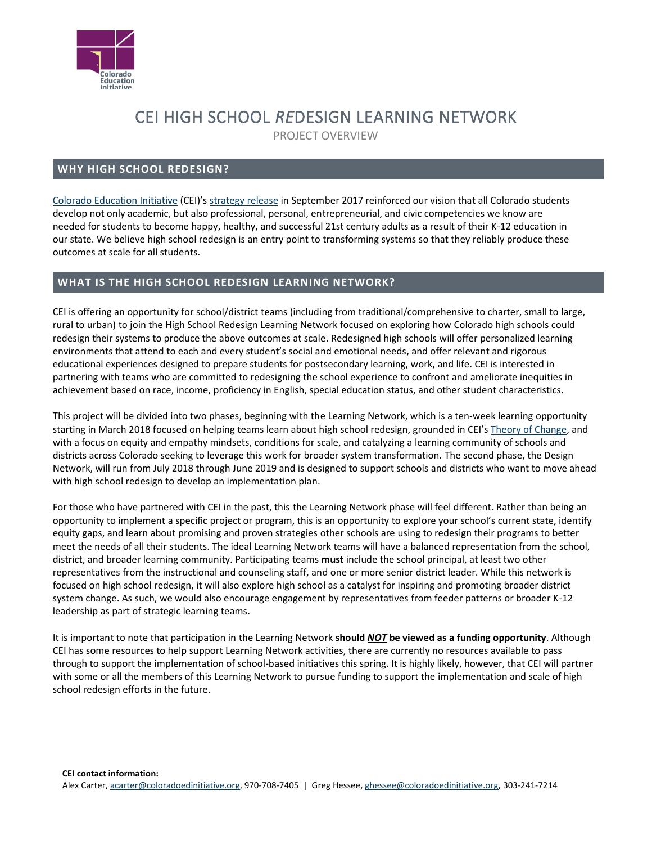

# CEI HIGH SCHOOL *RE*DESIGN LEARNING NETWORK

PROJECT OVERVIEW

# **WHY HIGH SCHOOL REDESIGN?**

[Colorado Education Initiative](http://www.coloradoedinitiative.org/) (CEI)'s [strategy release](http://www.coloradoedinitiative.org/wp-content/uploads/2017/09/cei_overview_15Sep2017_final.pdf) in September 2017 reinforced our vision that all Colorado students develop not only academic, but also professional, personal, entrepreneurial, and civic competencies we know are needed for students to become happy, healthy, and successful 21st century adults as a result of their K-12 education in our state. We believe high school redesign is an entry point to transforming systems so that they reliably produce these outcomes at scale for all students.

## **WHAT IS THE HIGH SCHOOL REDESIGN LEARNING NETWORK?**

CEI is offering an opportunity for school/district teams (including from traditional/comprehensive to charter, small to large, rural to urban) to join the High School Redesign Learning Network focused on exploring how Colorado high schools could redesign their systems to produce the above outcomes at scale. Redesigned high schools will offer personalized learning environments that attend to each and every student's social and emotional needs, and offer relevant and rigorous educational experiences designed to prepare students for postsecondary learning, work, and life. CEI is interested in partnering with teams who are committed to redesigning the school experience to confront and ameliorate inequities in achievement based on race, income, proficiency in English, special education status, and other student characteristics.

This project will be divided into two phases, beginning with the Learning Network, which is a ten-week learning opportunity starting in March 2018 focused on helping teams learn about high school redesign, grounded in CEI's [Theory of Change,](http://www.coloradoedinitiative.org/wp-content/uploads/2018/01/CEI_HSR_TheoryofChange_Jan2018.pdf) and with a focus on equity and empathy mindsets, conditions for scale, and catalyzing a learning community of schools and districts across Colorado seeking to leverage this work for broader system transformation. The second phase, the Design Network, will run from July 2018 through June 2019 and is designed to support schools and districts who want to move ahead with high school redesign to develop an implementation plan.

For those who have partnered with CEI in the past, this the Learning Network phase will feel different. Rather than being an opportunity to implement a specific project or program, this is an opportunity to explore your school's current state, identify equity gaps, and learn about promising and proven strategies other schools are using to redesign their programs to better meet the needs of all their students. The ideal Learning Network teams will have a balanced representation from the school, district, and broader learning community. Participating teams **must** include the school principal, at least two other representatives from the instructional and counseling staff, and one or more senior district leader. While this network is focused on high school redesign, it will also explore high school as a catalyst for inspiring and promoting broader district system change. As such, we would also encourage engagement by representatives from feeder patterns or broader K-12 leadership as part of strategic learning teams.

It is important to note that participation in the Learning Network **should** *NOT* **be viewed as a funding opportunity**. Although CEI has some resources to help support Learning Network activities, there are currently no resources available to pass through to support the implementation of school-based initiatives this spring. It is highly likely, however, that CEI will partner with some or all the members of this Learning Network to pursue funding to support the implementation and scale of high school redesign efforts in the future.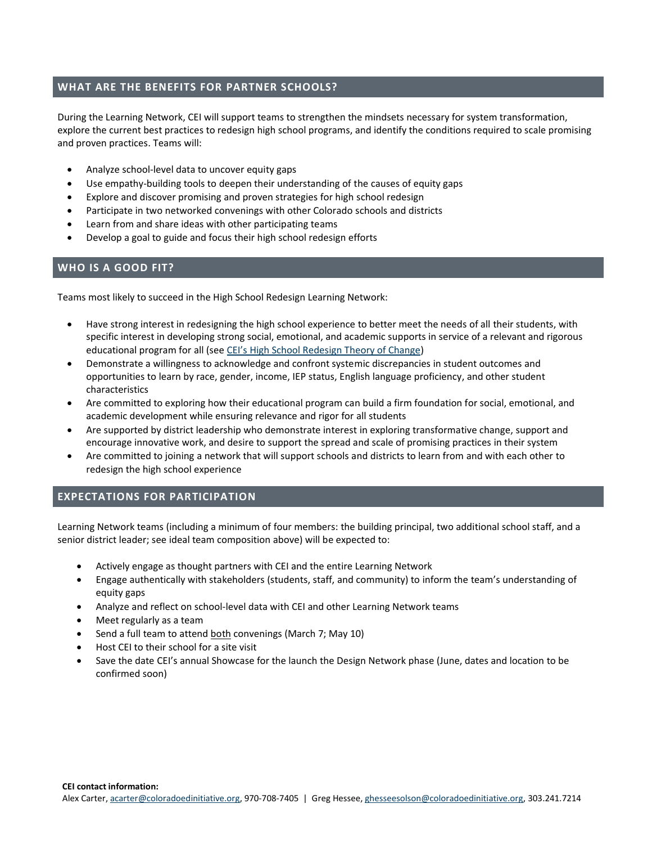#### **WHAT ARE THE BENEFITS FOR PARTNER SCHOOLS?**

During the Learning Network, CEI will support teams to strengthen the mindsets necessary for system transformation, explore the current best practices to redesign high school programs, and identify the conditions required to scale promising and proven practices. Teams will:

- Analyze school-level data to uncover equity gaps
- Use empathy-building tools to deepen their understanding of the causes of equity gaps
- Explore and discover promising and proven strategies for high school redesign
- Participate in two networked convenings with other Colorado schools and districts
- Learn from and share ideas with other participating teams
- Develop a goal to guide and focus their high school redesign efforts

#### **WHO IS A GOOD FIT?**

Teams most likely to succeed in the High School Redesign Learning Network:

- Have strong interest in redesigning the high school experience to better meet the needs of all their students, with specific interest in developing strong social, emotional, and academic supports in service of a relevant and rigorous educational program for all (see [CEI's High School Redesign Theory of Change](http://www.coloradoedinitiative.org/wp-content/uploads/2018/01/CEI_HSR_TheoryofChange_Jan2018.pdf))
- Demonstrate a willingness to acknowledge and confront systemic discrepancies in student outcomes and opportunities to learn by race, gender, income, IEP status, English language proficiency, and other student characteristics
- Are committed to exploring how their educational program can build a firm foundation for social, emotional, and academic development while ensuring relevance and rigor for all students
- Are supported by district leadership who demonstrate interest in exploring transformative change, support and encourage innovative work, and desire to support the spread and scale of promising practices in their system
- Are committed to joining a network that will support schools and districts to learn from and with each other to redesign the high school experience

## **EXPECTATIONS FOR PARTICIPATION**

Learning Network teams (including a minimum of four members: the building principal, two additional school staff, and a senior district leader; see ideal team composition above) will be expected to:

- Actively engage as thought partners with CEI and the entire Learning Network
- Engage authentically with stakeholders (students, staff, and community) to inform the team's understanding of equity gaps
- Analyze and reflect on school-level data with CEI and other Learning Network teams
- Meet regularly as a team
- Send a full team to attend both convenings (March 7; May 10)
- Host CEI to their school for a site visit
- Save the date CEI's annual Showcase for the launch the Design Network phase (June, dates and location to be confirmed soon)